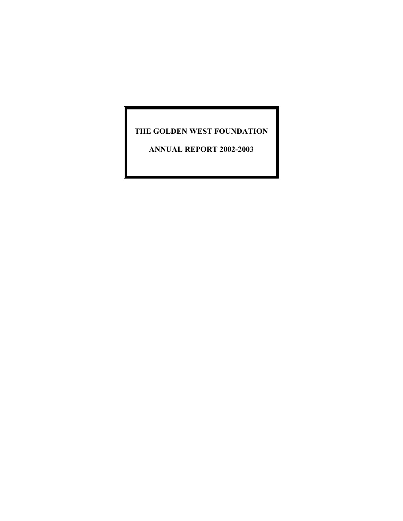### **THE GOLDEN WEST FOUNDATION**

**ANNUAL REPORT 2002-2003**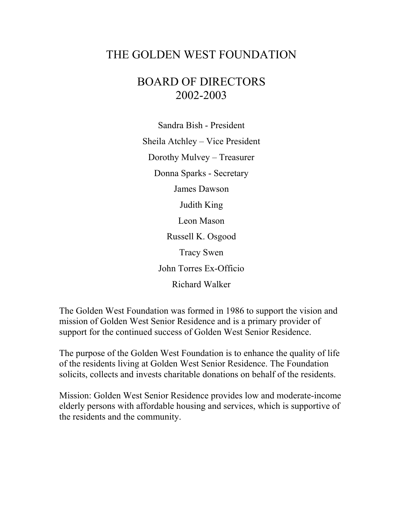# THE GOLDEN WEST FOUNDATION

# BOARD OF DIRECTORS 2002-2003

Sandra Bish - President Sheila Atchley – Vice President Dorothy Mulvey – Treasurer Donna Sparks - Secretary James Dawson Judith King Leon Mason Russell K. Osgood Tracy Swen John Torres Ex-Officio Richard Walker

The Golden West Foundation was formed in 1986 to support the vision and mission of Golden West Senior Residence and is a primary provider of support for the continued success of Golden West Senior Residence.

The purpose of the Golden West Foundation is to enhance the quality of life of the residents living at Golden West Senior Residence. The Foundation solicits, collects and invests charitable donations on behalf of the residents.

Mission: Golden West Senior Residence provides low and moderate-income elderly persons with affordable housing and services, which is supportive of the residents and the community.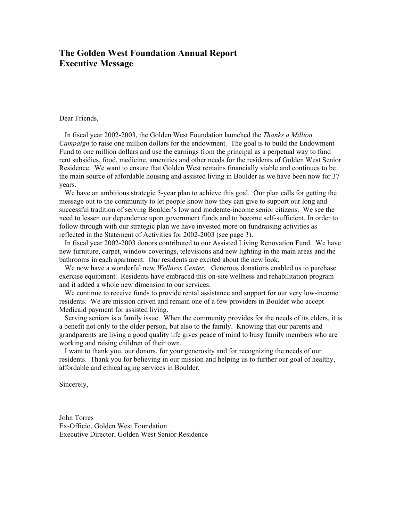#### **The Golden West Foundation Annual Report Executive Message**

Dear Friends,

 In fiscal year 2002-2003, the Golden West Foundation launched the *Thanks a Million Campaign* to raise one million dollars for the endowment. The goal is to build the Endowment Fund to one million dollars and use the earnings from the principal as a perpetual way to fund rent subsidies, food, medicine, amenities and other needs for the residents of Golden West Senior Residence. We want to ensure that Golden West remains financially viable and continues to be the main source of affordable housing and assisted living in Boulder as we have been now for 37 years.

We have an ambitious strategic 5-year plan to achieve this goal. Our plan calls for getting the message out to the community to let people know how they can give to support our long and successful tradition of serving Boulder's low and moderate-income senior citizens. We see the need to lessen our dependence upon government funds and to become self-sufficient. In order to follow through with our strategic plan we have invested more on fundraising activities as reflected in the Statement of Activities for 2002-2003 (see page 3).

 In fiscal year 2002-2003 donors contributed to our Assisted Living Renovation Fund. We have new furniture, carpet, window coverings, televisions and new lighting in the main areas and the bathrooms in each apartment. Our residents are excited about the new look.

 We now have a wonderful new *Wellness Center.* Generous donations enabled us to purchase exercise equipment. Residents have embraced this on-site wellness and rehabilitation program and it added a whole new dimension to our services.

 We continue to receive funds to provide rental assistance and support for our very low-income residents. We are mission driven and remain one of a few providers in Boulder who accept Medicaid payment for assisted living.

 Serving seniors is a family issue. When the community provides for the needs of its elders, it is a benefit not only to the older person, but also to the family. Knowing that our parents and grandparents are living a good quality life gives peace of mind to busy family members who are working and raising children of their own.

 I want to thank you, our donors, for your generosity and for recognizing the needs of our residents. Thank you for believing in our mission and helping us to further our goal of healthy, affordable and ethical aging services in Boulder.

Sincerely,

John Torres Ex-Officio, Golden West Foundation Executive Director, Golden West Senior Residence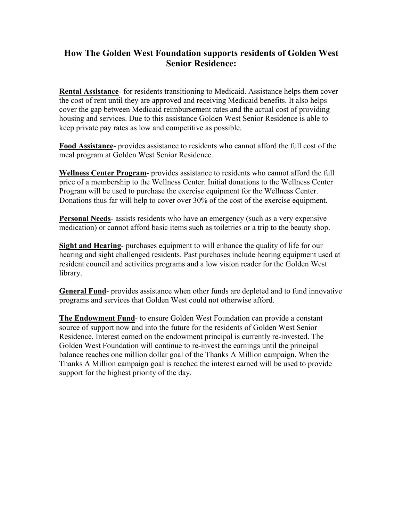### **How The Golden West Foundation supports residents of Golden West Senior Residence:**

**Rental Assistance**- for residents transitioning to Medicaid. Assistance helps them cover the cost of rent until they are approved and receiving Medicaid benefits. It also helps cover the gap between Medicaid reimbursement rates and the actual cost of providing housing and services. Due to this assistance Golden West Senior Residence is able to keep private pay rates as low and competitive as possible.

**Food Assistance**- provides assistance to residents who cannot afford the full cost of the meal program at Golden West Senior Residence.

**Wellness Center Program**- provides assistance to residents who cannot afford the full price of a membership to the Wellness Center. Initial donations to the Wellness Center Program will be used to purchase the exercise equipment for the Wellness Center. Donations thus far will help to cover over 30% of the cost of the exercise equipment.

**Personal Needs**- assists residents who have an emergency (such as a very expensive medication) or cannot afford basic items such as toiletries or a trip to the beauty shop.

**Sight and Hearing**- purchases equipment to will enhance the quality of life for our hearing and sight challenged residents. Past purchases include hearing equipment used at resident council and activities programs and a low vision reader for the Golden West library.

**General Fund**- provides assistance when other funds are depleted and to fund innovative programs and services that Golden West could not otherwise afford.

**The Endowment Fund**- to ensure Golden West Foundation can provide a constant source of support now and into the future for the residents of Golden West Senior Residence. Interest earned on the endowment principal is currently re-invested. The Golden West Foundation will continue to re-invest the earnings until the principal balance reaches one million dollar goal of the Thanks A Million campaign. When the Thanks A Million campaign goal is reached the interest earned will be used to provide support for the highest priority of the day.